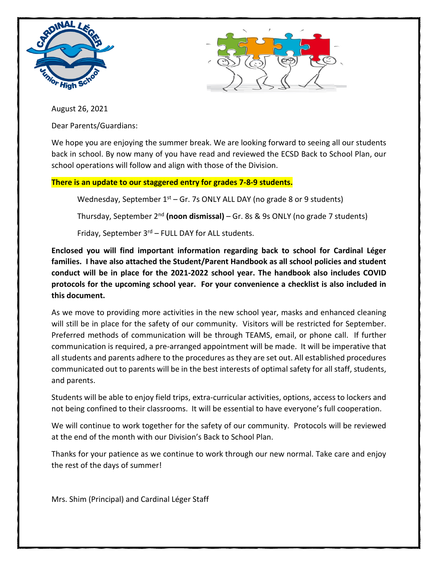



August 26, 2021

Dear Parents/Guardians:

We hope you are enjoying the summer break. We are looking forward to seeing all our students back in school. By now many of you have read and reviewed the ECSD Back to School Plan, our school operations will follow and align with those of the Division.

## **There is an update to our staggered entry for grades 7-8-9 students.**

Wednesday, September  $1<sup>st</sup>$  – Gr. 7s ONLY ALL DAY (no grade 8 or 9 students)

Thursday, September 2nd **(noon dismissal)** – Gr. 8s & 9s ONLY (no grade 7 students)

Friday, September  $3<sup>rd</sup>$  – FULL DAY for ALL students.

**Enclosed you will find important information regarding back to school for Cardinal Léger families. I have also attached the Student/Parent Handbook as all school policies and student conduct will be in place for the 2021-2022 school year. The handbook also includes COVID protocols for the upcoming school year. For your convenience a checklist is also included in this document.** 

As we move to providing more activities in the new school year, masks and enhanced cleaning will still be in place for the safety of our community. Visitors will be restricted for September. Preferred methods of communication will be through TEAMS, email, or phone call. If further communication is required, a pre-arranged appointment will be made. It will be imperative that all students and parents adhere to the procedures as they are set out. All established procedures communicated out to parents will be in the best interests of optimal safety for all staff, students, and parents.

Students will be able to enjoy field trips, extra-curricular activities, options, access to lockers and not being confined to their classrooms. It will be essential to have everyone's full cooperation.

We will continue to work together for the safety of our community. Protocols will be reviewed at the end of the month with our Division's Back to School Plan.

Thanks for your patience as we continue to work through our new normal. Take care and enjoy the rest of the days of summer!

Mrs. Shim (Principal) and Cardinal Léger Staff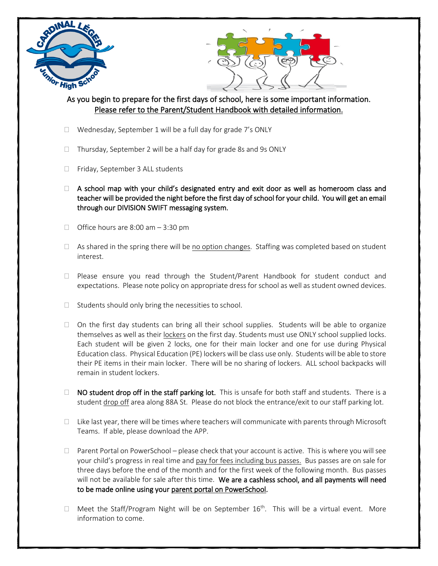



## As you begin to prepare for the first days of school, here is some important information. Please refer to the Parent/Student Handbook with detailed information.

- □ Wednesday, September 1 will be a full day for grade 7's ONLY
- □ Thursday, September 2 will be a half day for grade 8s and 9s ONLY
- Friday, September 3 ALL students
- $\Box$  A school map with your child's designated entry and exit door as well as homeroom class and teacher will be provided the night before the first day of school for your child. You will get an email through our DIVISION SWIFT messaging system.
- $\Box$  Office hours are 8:00 am  $-$  3:30 pm
- $\Box$  As shared in the spring there will be no option changes. Staffing was completed based on student interest.
- $\Box$  Please ensure you read through the Student/Parent Handbook for student conduct and expectations. Please note policy on appropriate dress for school as well as student owned devices.
- $\Box$  Students should only bring the necessities to school.
- $\Box$  On the first day students can bring all their school supplies. Students will be able to organize themselves as well as their lockers on the first day. Students must use ONLY school supplied locks. Each student will be given 2 locks, one for their main locker and one for use during Physical Education class. Physical Education (PE) lockers will be class use only. Students will be able to store their PE items in their main locker. There will be no sharing of lockers. ALL school backpacks will remain in student lockers.
- $\Box$  NO student drop off in the staff parking lot. This is unsafe for both staff and students. There is a student drop off area along 88A St. Please do not block the entrance/exit to our staff parking lot.
- $\Box$  Like last year, there will be times where teachers will communicate with parents through Microsoft Teams. If able, please download the APP.
- $\Box$  Parent Portal on PowerSchool please check that your account is active. This is where you will see your child's progress in real time and pay for fees including bus passes. Bus passes are on sale for three days before the end of the month and for the first week of the following month. Bus passes will not be available for sale after this time. We are a cashless school, and all payments will need to be made online using your parent portal on PowerSchool.
- $\Box$  Meet the Staff/Program Night will be on September 16<sup>th</sup>. This will be a virtual event. More information to come.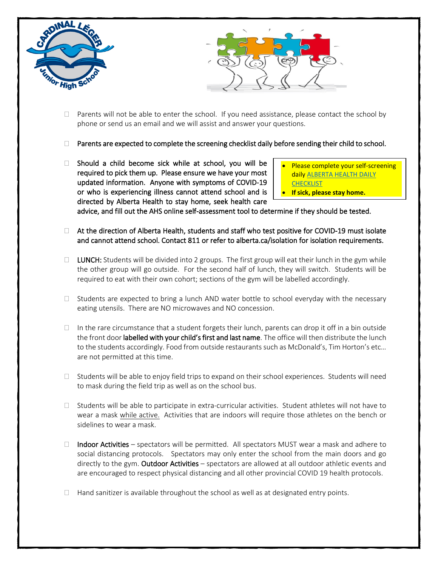



- $\Box$  Parents will not be able to enter the school. If you need assistance, please contact the school by phone or send us an email and we will assist and answer your questions.
- $\Box$  Parents are expected to complete the screening checklist daily before sending their child to school.
- $\Box$  Should a child become sick while at school, you will be required to pick them up. Please ensure we have your most updated information. Anyone with symptoms of COVID-19 or who is experiencing illness cannot attend school and is directed by Alberta Health to stay home, seek health care
- Please complete your self-screening dail[y ALBERTA HEALTH DAILY](https://open.alberta.ca/dataset/56c020ed-1782-4c6c-bfdd-5af36754471f/resource/58957831-a4ab-45ff-9a8e-3c6af7c1622e/download/covid-19-information-alberta-health-daily-checklist-2021-08.pdf)  **[CHECKLIST](https://open.alberta.ca/dataset/56c020ed-1782-4c6c-bfdd-5af36754471f/resource/58957831-a4ab-45ff-9a8e-3c6af7c1622e/download/covid-19-information-alberta-health-daily-checklist-2021-08.pdf)**
- **If sick, please stay home.**

advice, and fill out the AHS online self-assessment tool to determine if they should be tested.

- $\Box$  At the direction of Alberta Health, students and staff who test positive for COVID-19 must isolate and cannot attend school. Contact 811 or refer to alberta.ca/isolation for isolation requirements.
- $\Box$  LUNCH: Students will be divided into 2 groups. The first group will eat their lunch in the gym while the other group will go outside. For the second half of lunch, they will switch. Students will be required to eat with their own cohort; sections of the gym will be labelled accordingly.
- $\Box$  Students are expected to bring a lunch AND water bottle to school everyday with the necessary eating utensils. There are NO microwaves and NO concession.
- $\Box$  In the rare circumstance that a student forgets their lunch, parents can drop it off in a bin outside the front door labelled with your child's first and last name. The office will then distribute the lunch to the students accordingly. Food from outside restaurants such as McDonald's, Tim Horton's etc… are not permitted at this time.
- $\Box$  Students will be able to enjoy field trips to expand on their school experiences. Students will need to mask during the field trip as well as on the school bus.
- $\Box$  Students will be able to participate in extra-curricular activities. Student athletes will not have to wear a mask while active. Activities that are indoors will require those athletes on the bench or sidelines to wear a mask.
- $\Box$  Indoor Activities spectators will be permitted. All spectators MUST wear a mask and adhere to social distancing protocols. Spectators may only enter the school from the main doors and go directly to the gym. Outdoor Activities - spectators are allowed at all outdoor athletic events and are encouraged to respect physical distancing and all other provincial COVID 19 health protocols.
- $\Box$  Hand sanitizer is available throughout the school as well as at designated entry points.